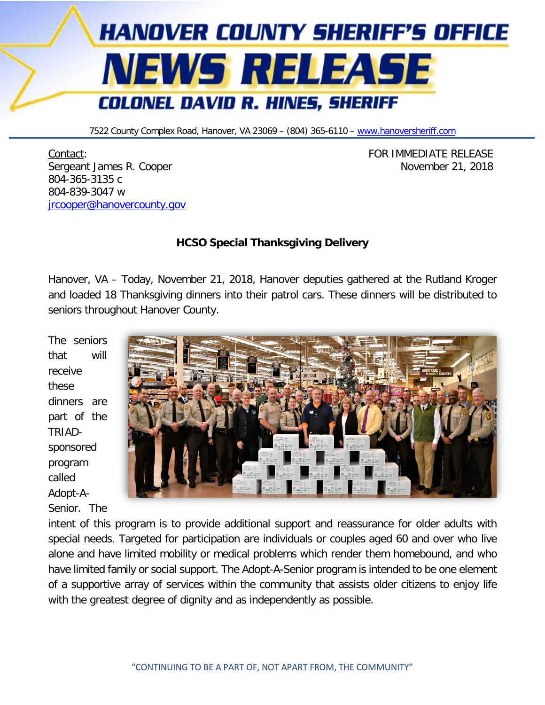

7522 County Complex Road, Hanover, VA 23069 - (804) 365-6110 - [www.hanoversheriff.com](http://www.hanoversheriff.com/)

Contact: FOR IMMEDIATE RELEASE Sergeant James R. Cooper November 21, 2018 804-365-3135 c 804-839-3047 w [jrcooper@hanovercounty.gov](mailto:jrcooper@hanovercounty.gov)

## **HCSO Special Thanksgiving Delivery**

Hanover, VA – Today, November 21, 2018, Hanover deputies gathered at the Rutland Kroger and loaded 18 Thanksgiving dinners into their patrol cars. These dinners will be distributed to seniors throughout Hanover County.

The seniors that will receive these dinners are part of the TRIADsponsored program called Adopt-A-Senior. The



intent of this program is to provide additional support and reassurance for older adults with special needs. Targeted for participation are individuals or couples aged 60 and over who live alone and have limited mobility or medical problems which render them homebound, and who have limited family or social support. The Adopt-A-Senior program is intended to be one element of a supportive array of services within the community that assists older citizens to enjoy life with the greatest degree of dignity and as independently as possible.